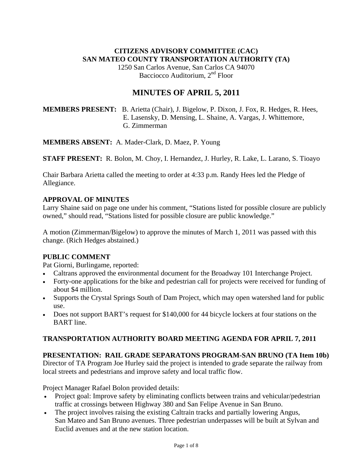# **CITIZENS ADVISORY COMMITTEE (CAC) SAN MATEO COUNTY TRANSPORTATION AUTHORITY (TA)**

1250 San Carlos Avenue, San Carlos CA 94070 Bacciocco Auditorium, 2<sup>nd</sup> Floor

# **MINUTES OF APRIL 5, 2011**

# **MEMBERS PRESENT:** B. Arietta (Chair), J. Bigelow, P. Dixon, J. Fox, R. Hedges, R. Hees, E. Lasensky, D. Mensing, L. Shaine, A. Vargas, J. Whittemore, G. Zimmerman

**MEMBERS ABSENT:** A. Mader-Clark, D. Maez, P. Young

**STAFF PRESENT:** R. Bolon, M. Choy, I. Hernandez, J. Hurley, R. Lake, L. Larano, S. Tioayo

Chair Barbara Arietta called the meeting to order at 4:33 p.m. Randy Hees led the Pledge of Allegiance.

## **APPROVAL OF MINUTES**

Larry Shaine said on page one under his comment, "Stations listed for possible closure are publicly owned," should read, "Stations listed for possible closure are public knowledge."

A motion (Zimmerman/Bigelow) to approve the minutes of March 1, 2011 was passed with this change. (Rich Hedges abstained.)

# **PUBLIC COMMENT**

Pat Giorni, Burlingame, reported:

- Caltrans approved the environmental document for the Broadway 101 Interchange Project.
- Forty-one applications for the bike and pedestrian call for projects were received for funding of about \$4 million.
- Supports the Crystal Springs South of Dam Project, which may open watershed land for public use.
- Does not support BART's request for \$140,000 for 44 bicycle lockers at four stations on the BART line.

# **TRANSPORTATION AUTHORITY BOARD MEETING AGENDA FOR APRIL 7, 2011**

# **PRESENTATION: RAIL GRADE SEPARATONS PROGRAM-SAN BRUNO (TA Item 10b)**

Director of TA Program Joe Hurley said the project is intended to grade separate the railway from local streets and pedestrians and improve safety and local traffic flow.

Project Manager Rafael Bolon provided details:

- Project goal: Improve safety by eliminating conflicts between trains and vehicular/pedestrian traffic at crossings between Highway 380 and San Felipe Avenue in San Bruno.
- The project involves raising the existing Caltrain tracks and partially lowering Angus, San Mateo and San Bruno avenues. Three pedestrian underpasses will be built at Sylvan and Euclid avenues and at the new station location.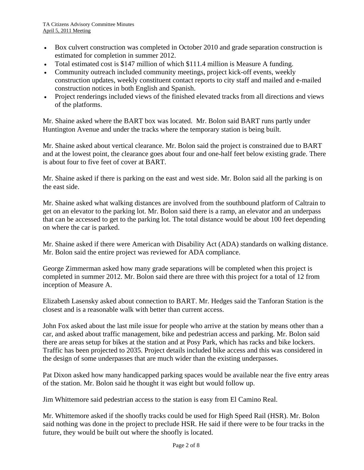- Box culvert construction was completed in October 2010 and grade separation construction is estimated for completion in summer 2012.
- Total estimated cost is \$147 million of which \$111.4 million is Measure A funding.
- Community outreach included community meetings, project kick-off events, weekly construction updates, weekly constituent contact reports to city staff and mailed and e-mailed construction notices in both English and Spanish.
- Project renderings included views of the finished elevated tracks from all directions and views of the platforms.

Mr. Shaine asked where the BART box was located. Mr. Bolon said BART runs partly under Huntington Avenue and under the tracks where the temporary station is being built.

Mr. Shaine asked about vertical clearance. Mr. Bolon said the project is constrained due to BART and at the lowest point, the clearance goes about four and one-half feet below existing grade. There is about four to five feet of cover at BART.

Mr. Shaine asked if there is parking on the east and west side. Mr. Bolon said all the parking is on the east side.

Mr. Shaine asked what walking distances are involved from the southbound platform of Caltrain to get on an elevator to the parking lot. Mr. Bolon said there is a ramp, an elevator and an underpass that can be accessed to get to the parking lot. The total distance would be about 100 feet depending on where the car is parked.

Mr. Shaine asked if there were American with Disability Act (ADA) standards on walking distance. Mr. Bolon said the entire project was reviewed for ADA compliance.

George Zimmerman asked how many grade separations will be completed when this project is completed in summer 2012. Mr. Bolon said there are three with this project for a total of 12 from inception of Measure A.

Elizabeth Lasensky asked about connection to BART. Mr. Hedges said the Tanforan Station is the closest and is a reasonable walk with better than current access.

John Fox asked about the last mile issue for people who arrive at the station by means other than a car, and asked about traffic management, bike and pedestrian access and parking. Mr. Bolon said there are areas setup for bikes at the station and at Posy Park, which has racks and bike lockers. Traffic has been projected to 2035. Project details included bike access and this was considered in the design of some underpasses that are much wider than the existing underpasses.

Pat Dixon asked how many handicapped parking spaces would be available near the five entry areas of the station. Mr. Bolon said he thought it was eight but would follow up.

Jim Whittemore said pedestrian access to the station is easy from El Camino Real.

Mr. Whittemore asked if the shoofly tracks could be used for High Speed Rail (HSR). Mr. Bolon said nothing was done in the project to preclude HSR. He said if there were to be four tracks in the future, they would be built out where the shoofly is located.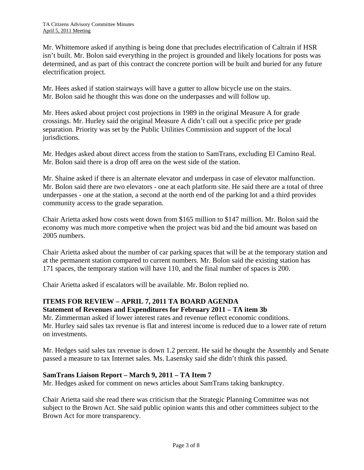Mr. Whittemore asked if anything is being done that precludes electrification of Caltrain if HSR isn't built. Mr. Bolon said everything in the project is grounded and likely locations for posts was determined, and as part of this contract the concrete portion will be built and buried for any future electrification project.

Mr. Hees asked if station stairways will have a gutter to allow bicycle use on the stairs. Mr. Bolon said he thought this was done on the underpasses and will follow up.

Mr. Hees asked about project cost projections in 1989 in the original Measure A for grade crossings. Mr. Hurley said the original Measure A didn't call out a specific price per grade separation. Priority was set by the Public Utilities Commission and support of the local jurisdictions.

Mr. Hedges asked about direct access from the station to SamTrans, excluding El Camino Real. Mr. Bolon said there is a drop off area on the west side of the station.

Mr. Shaine asked if there is an alternate elevator and underpass in case of elevator malfunction. Mr. Bolon said there are two elevators - one at each platform site. He said there are a total of three underpasses - one at the station, a second at the north end of the parking lot and a third provides community access to the grade separation.

Chair Arietta asked how costs went down from \$165 million to \$147 million. Mr. Bolon said the economy was much more competive when the project was bid and the bid amount was based on 2005 numbers.

Chair Arietta asked about the number of car parking spaces that will be at the temporary station and at the permanent station compared to current numbers. Mr. Bolon said the existing station has 171 spaces, the temporary station will have 110, and the final number of spaces is 200.

Chair Arietta asked if escalators will be available. Mr. Bolon replied no.

# **ITEMS FOR REVIEW – APRIL 7, 2011 TA BOARD AGENDA**

## **Statement of Revenues and Expenditures for February 2011 – TA item 3b**

Mr. Zimmerman asked if lower interest rates and revenue reflect economic conditions. Mr. Hurley said sales tax revenue is flat and interest income is reduced due to a lower rate of return on investments.

Mr. Hedges said sales tax revenue is down 1.2 percent. He said he thought the Assembly and Senate passed a measure to tax Internet sales. Ms. Lasensky said she didn't think this passed.

## **SamTrans Liaison Report – March 9, 2011 – TA Item 7**

Mr. Hedges asked for comment on news articles about SamTrans taking bankruptcy.

Chair Arietta said she read there was criticism that the Strategic Planning Committee was not subject to the Brown Act. She said public opinion wants this and other committees subject to the Brown Act for more transparency.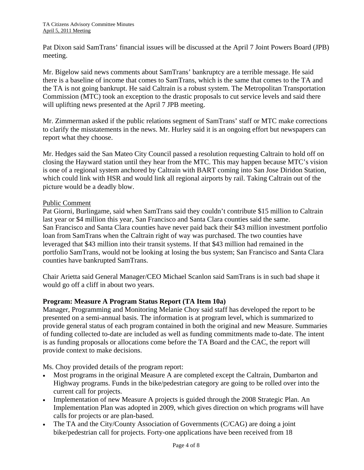Pat Dixon said SamTrans' financial issues will be discussed at the April 7 Joint Powers Board (JPB) meeting.

Mr. Bigelow said news comments about SamTrans' bankruptcy are a terrible message. He said there is a baseline of income that comes to SamTrans, which is the same that comes to the TA and the TA is not going bankrupt. He said Caltrain is a robust system. The Metropolitan Transportation Commission (MTC) took an exception to the drastic proposals to cut service levels and said there will uplifting news presented at the April 7 JPB meeting.

Mr. Zimmerman asked if the public relations segment of SamTrans' staff or MTC make corrections to clarify the misstatements in the news. Mr. Hurley said it is an ongoing effort but newspapers can report what they choose.

Mr. Hedges said the San Mateo City Council passed a resolution requesting Caltrain to hold off on closing the Hayward station until they hear from the MTC. This may happen because MTC's vision is one of a regional system anchored by Caltrain with BART coming into San Jose Diridon Station, which could link with HSR and would link all regional airports by rail. Taking Caltrain out of the picture would be a deadly blow.

## Public Comment

Pat Giorni, Burlingame, said when SamTrans said they couldn't contribute \$15 million to Caltrain last year or \$4 million this year, San Francisco and Santa Clara counties said the same. San Francisco and Santa Clara counties have never paid back their \$43 million investment portfolio loan from SamTrans when the Caltrain right of way was purchased. The two counties have leveraged that \$43 million into their transit systems. If that \$43 million had remained in the portfolio SamTrans, would not be looking at losing the bus system; San Francisco and Santa Clara counties have bankrupted SamTrans.

Chair Arietta said General Manager/CEO Michael Scanlon said SamTrans is in such bad shape it would go off a cliff in about two years.

## **Program: Measure A Program Status Report (TA Item 10a)**

Manager, Programming and Monitoring Melanie Choy said staff has developed the report to be presented on a semi-annual basis. The information is at program level, which is summarized to provide general status of each program contained in both the original and new Measure. Summaries of funding collected to-date are included as well as funding commitments made to-date. The intent is as funding proposals or allocations come before the TA Board and the CAC, the report will provide context to make decisions.

Ms. Choy provided details of the program report:

- Most programs in the original Measure A are completed except the Caltrain, Dumbarton and Highway programs. Funds in the bike/pedestrian category are going to be rolled over into the current call for projects.
- Implementation of new Measure A projects is guided through the 2008 Strategic Plan. An Implementation Plan was adopted in 2009, which gives direction on which programs will have calls for projects or are plan-based.
- The TA and the City/County Association of Governments (C/CAG) are doing a joint bike/pedestrian call for projects. Forty-one applications have been received from 18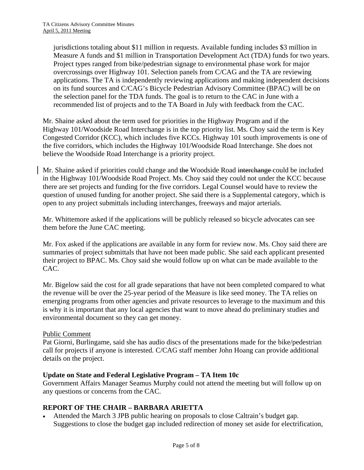jurisdictions totaling about \$11 million in requests. Available funding includes \$3 million in Measure A funds and \$1 million in Transportation Development Act (TDA) funds for two years. Project types ranged from bike/pedestrian signage to environmental phase work for major overcrossings over Highway 101. Selection panels from C/CAG and the TA are reviewing applications. The TA is independently reviewing applications and making independent decisions on its fund sources and C/CAG's Bicycle Pedestrian Advisory Committee (BPAC) will be on the selection panel for the TDA funds. The goal is to return to the CAC in June with a recommended list of projects and to the TA Board in July with feedback from the CAC.

Mr. Shaine asked about the term used for priorities in the Highway Program and if the Highway 101/Woodside Road Interchange is in the top priority list. Ms. Choy said the term is Key Congested Corridor (KCC), which includes five KCCs. Highway 101 south improvements is one of the five corridors, which includes the Highway 101/Woodside Road Interchange. She does not believe the Woodside Road Interchange is a priority project.

Mr. Shaine asked if priorities could change and the Woodside Road interchange could be included in the Highway 101/Woodside Road Project. Ms. Choy said they could not under the KCC because there are set projects and funding for the five corridors. Legal Counsel would have to review the question of unused funding for another project. She said there is a Supplemental category, which is open to any project submittals including interchanges, freeways and major arterials.

Mr. Whittemore asked if the applications will be publicly released so bicycle advocates can see them before the June CAC meeting.

Mr. Fox asked if the applications are available in any form for review now. Ms. Choy said there are summaries of project submittals that have not been made public. She said each applicant presented their project to BPAC. Ms. Choy said she would follow up on what can be made available to the CAC.

Mr. Bigelow said the cost for all grade separations that have not been completed compared to what the revenue will be over the 25-year period of the Measure is like seed money. The TA relies on emerging programs from other agencies and private resources to leverage to the maximum and this is why it is important that any local agencies that want to move ahead do preliminary studies and environmental document so they can get money.

## Public Comment

Pat Giorni, Burlingame, said she has audio discs of the presentations made for the bike/pedestrian call for projects if anyone is interested. C/CAG staff member John Hoang can provide additional details on the project.

## **Update on State and Federal Legislative Program – TA Item 10c**

Government Affairs Manager Seamus Murphy could not attend the meeting but will follow up on any questions or concerns from the CAC.

# **REPORT OF THE CHAIR – BARBARA ARIETTA**

• Attended the March 3 JPB public hearing on proposals to close Caltrain's budget gap. Suggestions to close the budget gap included redirection of money set aside for electrification,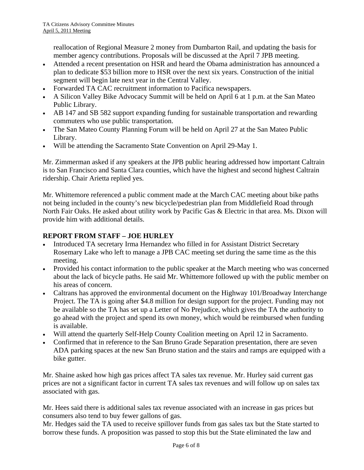reallocation of Regional Measure 2 money from Dumbarton Rail, and updating the basis for member agency contributions. Proposals will be discussed at the April 7 JPB meeting.

- Attended a recent presentation on HSR and heard the Obama administration has announced a plan to dedicate \$53 billion more to HSR over the next six years. Construction of the initial segment will begin late next year in the Central Valley.
- Forwarded TA CAC recruitment information to Pacifica newspapers.
- A Silicon Valley Bike Advocacy Summit will be held on April 6 at 1 p.m. at the San Mateo Public Library.
- AB 147 and SB 582 support expanding funding for sustainable transportation and rewarding commuters who use public transportation.
- The San Mateo County Planning Forum will be held on April 27 at the San Mateo Public Library.
- Will be attending the Sacramento State Convention on April 29-May 1.

Mr. Zimmerman asked if any speakers at the JPB public hearing addressed how important Caltrain is to San Francisco and Santa Clara counties, which have the highest and second highest Caltrain ridership. Chair Arietta replied yes.

Mr. Whittemore referenced a public comment made at the March CAC meeting about bike paths not being included in the county's new bicycle/pedestrian plan from Middlefield Road through North Fair Oaks. He asked about utility work by Pacific Gas & Electric in that area. Ms. Dixon will provide him with additional details.

## **REPORT FROM STAFF – JOE HURLEY**

- Introduced TA secretary Irma Hernandez who filled in for Assistant District Secretary Rosemary Lake who left to manage a JPB CAC meeting set during the same time as the this meeting.
- Provided his contact information to the public speaker at the March meeting who was concerned about the lack of bicycle paths. He said Mr. Whittemore followed up with the public member on his areas of concern.
- Caltrans has approved the environmental document on the Highway 101/Broadway Interchange Project. The TA is going after \$4.8 million for design support for the project. Funding may not be available so the TA has set up a Letter of No Prejudice, which gives the TA the authority to go ahead with the project and spend its own money, which would be reimbursed when funding is available.
- Will attend the quarterly Self-Help County Coalition meeting on April 12 in Sacramento.
- Confirmed that in reference to the San Bruno Grade Separation presentation, there are seven ADA parking spaces at the new San Bruno station and the stairs and ramps are equipped with a bike gutter.

Mr. Shaine asked how high gas prices affect TA sales tax revenue. Mr. Hurley said current gas prices are not a significant factor in current TA sales tax revenues and will follow up on sales tax associated with gas.

Mr. Hees said there is additional sales tax revenue associated with an increase in gas prices but consumers also tend to buy fewer gallons of gas.

Mr. Hedges said the TA used to receive spillover funds from gas sales tax but the State started to borrow these funds. A proposition was passed to stop this but the State eliminated the law and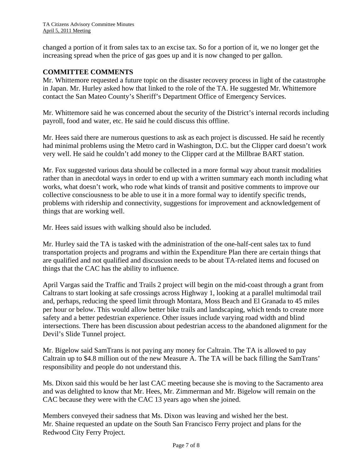changed a portion of it from sales tax to an excise tax. So for a portion of it, we no longer get the increasing spread when the price of gas goes up and it is now changed to per gallon.

## **COMMITTEE COMMENTS**

Mr. Whittemore requested a future topic on the disaster recovery process in light of the catastrophe in Japan. Mr. Hurley asked how that linked to the role of the TA. He suggested Mr. Whittemore contact the San Mateo County's Sheriff's Department Office of Emergency Services.

Mr. Whittemore said he was concerned about the security of the District's internal records including payroll, food and water, etc. He said he could discuss this offline.

Mr. Hees said there are numerous questions to ask as each project is discussed. He said he recently had minimal problems using the Metro card in Washington, D.C. but the Clipper card doesn't work very well. He said he couldn't add money to the Clipper card at the Millbrae BART station.

Mr. Fox suggested various data should be collected in a more formal way about transit modalities rather than in anecdotal ways in order to end up with a written summary each month including what works, what doesn't work, who rode what kinds of transit and positive comments to improve our collective consciousness to be able to use it in a more formal way to identify specific trends, problems with ridership and connectivity, suggestions for improvement and acknowledgement of things that are working well.

Mr. Hees said issues with walking should also be included.

Mr. Hurley said the TA is tasked with the administration of the one-half-cent sales tax to fund transportation projects and programs and within the Expenditure Plan there are certain things that are qualified and not qualified and discussion needs to be about TA-related items and focused on things that the CAC has the ability to influence.

April Vargas said the Traffic and Trails 2 project will begin on the mid-coast through a grant from Caltrans to start looking at safe crossings across Highway 1, looking at a parallel multimodal trail and, perhaps, reducing the speed limit through Montara, Moss Beach and El Granada to 45 miles per hour or below. This would allow better bike trails and landscaping, which tends to create more safety and a better pedestrian experience. Other issues include varying road width and blind intersections. There has been discussion about pedestrian access to the abandoned alignment for the Devil's Slide Tunnel project.

Mr. Bigelow said SamTrans is not paying any money for Caltrain. The TA is allowed to pay Caltrain up to \$4.8 million out of the new Measure A. The TA will be back filling the SamTrans' responsibility and people do not understand this.

Ms. Dixon said this would be her last CAC meeting because she is moving to the Sacramento area and was delighted to know that Mr. Hees, Mr. Zimmerman and Mr. Bigelow will remain on the CAC because they were with the CAC 13 years ago when she joined.

Members conveyed their sadness that Ms. Dixon was leaving and wished her the best. Mr. Shaine requested an update on the South San Francisco Ferry project and plans for the Redwood City Ferry Project.